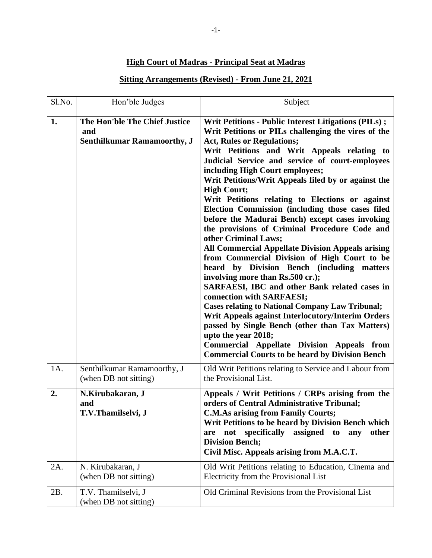## **High Court of Madras - Principal Seat at Madras**

## **Sitting Arrangements (Revised) - From June 21, 2021**

| Sl.No. | Hon'ble Judges                                                             | Subject                                                                                                                                                                                                                                                                                                                                                                                                                                                                                                                                                                                                                                                                                                                                                                                                                                                                                                                                                                                                                                                                                                                                                                                    |
|--------|----------------------------------------------------------------------------|--------------------------------------------------------------------------------------------------------------------------------------------------------------------------------------------------------------------------------------------------------------------------------------------------------------------------------------------------------------------------------------------------------------------------------------------------------------------------------------------------------------------------------------------------------------------------------------------------------------------------------------------------------------------------------------------------------------------------------------------------------------------------------------------------------------------------------------------------------------------------------------------------------------------------------------------------------------------------------------------------------------------------------------------------------------------------------------------------------------------------------------------------------------------------------------------|
| 1.     | The Hon'ble The Chief Justice<br>and<br><b>Senthilkumar Ramamoorthy, J</b> | Writ Petitions - Public Interest Litigations (PILs);<br>Writ Petitions or PILs challenging the vires of the<br><b>Act, Rules or Regulations;</b><br>Writ Petitions and Writ Appeals relating to<br>Judicial Service and service of court-employees<br>including High Court employees;<br>Writ Petitions/Writ Appeals filed by or against the<br><b>High Court;</b><br>Writ Petitions relating to Elections or against<br>Election Commission (including those cases filed<br>before the Madurai Bench) except cases invoking<br>the provisions of Criminal Procedure Code and<br>other Criminal Laws;<br><b>All Commercial Appellate Division Appeals arising</b><br>from Commercial Division of High Court to be<br>heard by Division Bench (including matters<br>involving more than Rs.500 cr.);<br>SARFAESI, IBC and other Bank related cases in<br>connection with SARFAESI;<br><b>Cases relating to National Company Law Tribunal;</b><br>Writ Appeals against Interlocutory/Interim Orders<br>passed by Single Bench (other than Tax Matters)<br>upto the year 2018;<br><b>Commercial Appellate Division Appeals from</b><br><b>Commercial Courts to be heard by Division Bench</b> |
| 1A.    | Senthilkumar Ramamoorthy, J<br>(when DB not sitting)                       | Old Writ Petitions relating to Service and Labour from<br>the Provisional List.                                                                                                                                                                                                                                                                                                                                                                                                                                                                                                                                                                                                                                                                                                                                                                                                                                                                                                                                                                                                                                                                                                            |
| 2.     | N.Kirubakaran, J<br>and<br>T.V.Thamilselvi, J                              | Appeals / Writ Petitions / CRPs arising from the<br>orders of Central Administrative Tribunal;<br><b>C.M.As arising from Family Courts;</b><br>Writ Petitions to be heard by Division Bench which<br>specifically<br>assigned to<br>any<br>other<br>are not<br><b>Division Bench;</b><br>Civil Misc. Appeals arising from M.A.C.T.                                                                                                                                                                                                                                                                                                                                                                                                                                                                                                                                                                                                                                                                                                                                                                                                                                                         |
| 2A.    | N. Kirubakaran, J<br>(when DB not sitting)                                 | Old Writ Petitions relating to Education, Cinema and<br>Electricity from the Provisional List                                                                                                                                                                                                                                                                                                                                                                                                                                                                                                                                                                                                                                                                                                                                                                                                                                                                                                                                                                                                                                                                                              |
| 2B.    | T.V. Thamilselvi, J<br>(when DB not sitting)                               | Old Criminal Revisions from the Provisional List                                                                                                                                                                                                                                                                                                                                                                                                                                                                                                                                                                                                                                                                                                                                                                                                                                                                                                                                                                                                                                                                                                                                           |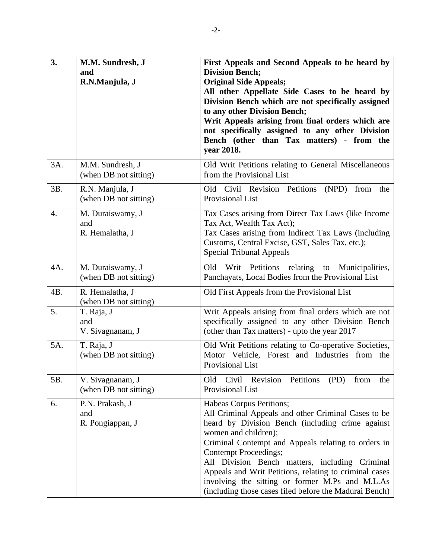| 3.               | M.M. Sundresh, J<br>and<br>R.N.Manjula, J  | First Appeals and Second Appeals to be heard by<br><b>Division Bench;</b><br><b>Original Side Appeals;</b><br>All other Appellate Side Cases to be heard by<br>Division Bench which are not specifically assigned<br>to any other Division Bench;<br>Writ Appeals arising from final orders which are<br>not specifically assigned to any other Division<br>Bench (other than Tax matters) - from the<br>year 2018.                                                         |
|------------------|--------------------------------------------|-----------------------------------------------------------------------------------------------------------------------------------------------------------------------------------------------------------------------------------------------------------------------------------------------------------------------------------------------------------------------------------------------------------------------------------------------------------------------------|
| 3A.              | M.M. Sundresh, J<br>(when DB not sitting)  | Old Writ Petitions relating to General Miscellaneous<br>from the Provisional List                                                                                                                                                                                                                                                                                                                                                                                           |
| 3B.              | R.N. Manjula, J<br>(when DB not sitting)   | Old Civil Revision Petitions<br>(NPD)<br>from the<br><b>Provisional List</b>                                                                                                                                                                                                                                                                                                                                                                                                |
| $\overline{4}$ . | M. Duraiswamy, J<br>and<br>R. Hemalatha, J | Tax Cases arising from Direct Tax Laws (like Income<br>Tax Act, Wealth Tax Act);<br>Tax Cases arising from Indirect Tax Laws (including<br>Customs, Central Excise, GST, Sales Tax, etc.);<br><b>Special Tribunal Appeals</b>                                                                                                                                                                                                                                               |
| 4A.              | M. Duraiswamy, J<br>(when DB not sitting)  | Writ Petitions relating to Municipalities,<br>Old<br>Panchayats, Local Bodies from the Provisional List                                                                                                                                                                                                                                                                                                                                                                     |
| 4B.              | R. Hemalatha, J<br>(when DB not sitting)   | Old First Appeals from the Provisional List                                                                                                                                                                                                                                                                                                                                                                                                                                 |
| 5.               | T. Raja, J<br>and<br>V. Sivagnanam, J      | Writ Appeals arising from final orders which are not<br>specifically assigned to any other Division Bench<br>(other than Tax matters) - upto the year 2017                                                                                                                                                                                                                                                                                                                  |
| 5A.              | T. Raja, J<br>(when DB not sitting)        | Old Writ Petitions relating to Co-operative Societies,<br>Motor Vehicle, Forest and Industries from the<br>Provisional List                                                                                                                                                                                                                                                                                                                                                 |
| 5B.              | V. Sivagnanam, J<br>(when DB not sitting)  | Civil Revision<br>Petitions<br>Old<br>(PD)<br>the<br>from<br>Provisional List                                                                                                                                                                                                                                                                                                                                                                                               |
| 6.               | P.N. Prakash, J<br>and<br>R. Pongiappan, J | Habeas Corpus Petitions;<br>All Criminal Appeals and other Criminal Cases to be<br>heard by Division Bench (including crime against<br>women and children);<br>Criminal Contempt and Appeals relating to orders in<br><b>Contempt Proceedings;</b><br>All Division Bench matters, including Criminal<br>Appeals and Writ Petitions, relating to criminal cases<br>involving the sitting or former M.Ps and M.L.As<br>(including those cases filed before the Madurai Bench) |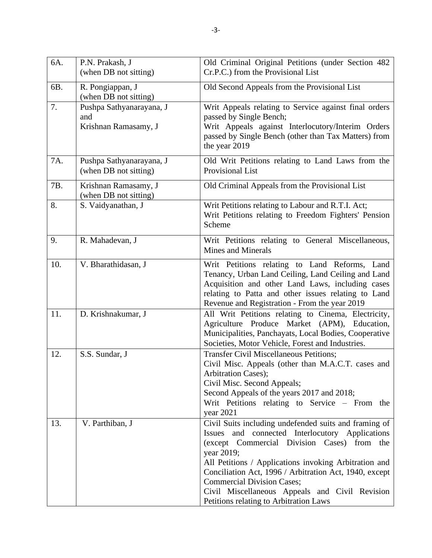| 6A. | P.N. Prakash, J<br>(when DB not sitting)                | Old Criminal Original Petitions (under Section 482<br>Cr.P.C.) from the Provisional List                                                                                                                                                                                                                                                                                                                                            |
|-----|---------------------------------------------------------|-------------------------------------------------------------------------------------------------------------------------------------------------------------------------------------------------------------------------------------------------------------------------------------------------------------------------------------------------------------------------------------------------------------------------------------|
| 6B. | R. Pongiappan, J<br>(when DB not sitting)               | Old Second Appeals from the Provisional List                                                                                                                                                                                                                                                                                                                                                                                        |
| 7.  | Pushpa Sathyanarayana, J<br>and<br>Krishnan Ramasamy, J | Writ Appeals relating to Service against final orders<br>passed by Single Bench;<br>Writ Appeals against Interlocutory/Interim Orders<br>passed by Single Bench (other than Tax Matters) from<br>the year 2019                                                                                                                                                                                                                      |
| 7A. | Pushpa Sathyanarayana, J<br>(when DB not sitting)       | Old Writ Petitions relating to Land Laws from the<br>Provisional List                                                                                                                                                                                                                                                                                                                                                               |
| 7B. | Krishnan Ramasamy, J<br>(when DB not sitting)           | Old Criminal Appeals from the Provisional List                                                                                                                                                                                                                                                                                                                                                                                      |
| 8.  | S. Vaidyanathan, J                                      | Writ Petitions relating to Labour and R.T.I. Act;<br>Writ Petitions relating to Freedom Fighters' Pension<br>Scheme                                                                                                                                                                                                                                                                                                                 |
| 9.  | R. Mahadevan, J                                         | Writ Petitions relating to General Miscellaneous,<br><b>Mines and Minerals</b>                                                                                                                                                                                                                                                                                                                                                      |
| 10. | V. Bharathidasan, J                                     | Writ Petitions relating to Land Reforms, Land<br>Tenancy, Urban Land Ceiling, Land Ceiling and Land<br>Acquisition and other Land Laws, including cases<br>relating to Patta and other issues relating to Land<br>Revenue and Registration - From the year 2019                                                                                                                                                                     |
| 11. | D. Krishnakumar, J                                      | All Writ Petitions relating to Cinema, Electricity,<br>Agriculture Produce Market (APM), Education,<br>Municipalities, Panchayats, Local Bodies, Cooperative<br>Societies, Motor Vehicle, Forest and Industries.                                                                                                                                                                                                                    |
| 12. | S.S. Sundar, J                                          | <b>Transfer Civil Miscellaneous Petitions;</b><br>Civil Misc. Appeals (other than M.A.C.T. cases and<br>Arbitration Cases);<br>Civil Misc. Second Appeals;<br>Second Appeals of the years 2017 and 2018;<br>Writ Petitions relating to Service – From the<br>year 2021                                                                                                                                                              |
| 13. | V. Parthiban, J                                         | Civil Suits including undefended suits and framing of<br>and connected Interlocutory Applications<br><b>Issues</b><br>(except Commercial Division Cases) from the<br>year 2019;<br>All Petitions / Applications invoking Arbitration and<br>Conciliation Act, 1996 / Arbitration Act, 1940, except<br><b>Commercial Division Cases;</b><br>Civil Miscellaneous Appeals and Civil Revision<br>Petitions relating to Arbitration Laws |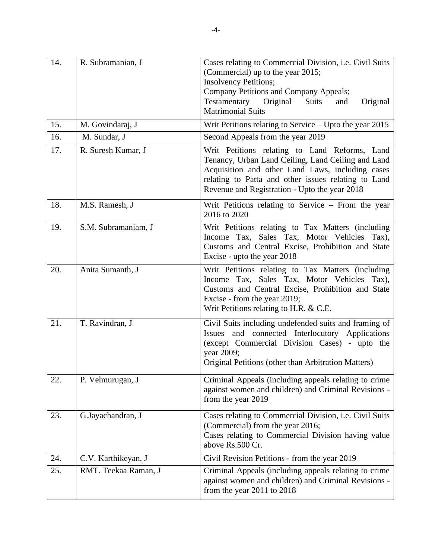| 14. | R. Subramanian, J    | Cases relating to Commercial Division, i.e. Civil Suits<br>(Commercial) up to the year 2015;<br><b>Insolvency Petitions;</b><br>Company Petitions and Company Appeals;<br>Testamentary Original<br><b>Suits</b><br>Original<br>and<br><b>Matrimonial Suits</b>  |
|-----|----------------------|-----------------------------------------------------------------------------------------------------------------------------------------------------------------------------------------------------------------------------------------------------------------|
| 15. | M. Govindaraj, J     | Writ Petitions relating to Service $-$ Upto the year 2015                                                                                                                                                                                                       |
| 16. | M. Sundar, J         | Second Appeals from the year 2019                                                                                                                                                                                                                               |
| 17. | R. Suresh Kumar, J   | Writ Petitions relating to Land Reforms, Land<br>Tenancy, Urban Land Ceiling, Land Ceiling and Land<br>Acquisition and other Land Laws, including cases<br>relating to Patta and other issues relating to Land<br>Revenue and Registration - Upto the year 2018 |
| 18. | M.S. Ramesh, J       | Writ Petitions relating to Service – From the year<br>2016 to 2020                                                                                                                                                                                              |
| 19. | S.M. Subramaniam, J  | Writ Petitions relating to Tax Matters (including<br>Income Tax, Sales Tax, Motor Vehicles Tax),<br>Customs and Central Excise, Prohibition and State<br>Excise - upto the year 2018                                                                            |
| 20. | Anita Sumanth, J     | Writ Petitions relating to Tax Matters (including<br>Income Tax, Sales Tax, Motor Vehicles Tax),<br>Customs and Central Excise, Prohibition and State<br>Excise - from the year 2019;<br>Writ Petitions relating to H.R. & C.E.                                 |
| 21. | T. Ravindran, J      | Civil Suits including undefended suits and framing of<br>Issues and connected Interlocutory Applications<br>(except Commercial Division Cases) - upto the<br>year 2009;<br>Original Petitions (other than Arbitration Matters)                                  |
| 22. | P. Velmurugan, J     | Criminal Appeals (including appeals relating to crime<br>against women and children) and Criminal Revisions -<br>from the year 2019                                                                                                                             |
| 23. | G.Jayachandran, J    | Cases relating to Commercial Division, i.e. Civil Suits<br>(Commercial) from the year 2016;<br>Cases relating to Commercial Division having value<br>above Rs.500 Cr.                                                                                           |
| 24. | C.V. Karthikeyan, J  | Civil Revision Petitions - from the year 2019                                                                                                                                                                                                                   |
| 25. | RMT. Teekaa Raman, J | Criminal Appeals (including appeals relating to crime<br>against women and children) and Criminal Revisions -<br>from the year 2011 to 2018                                                                                                                     |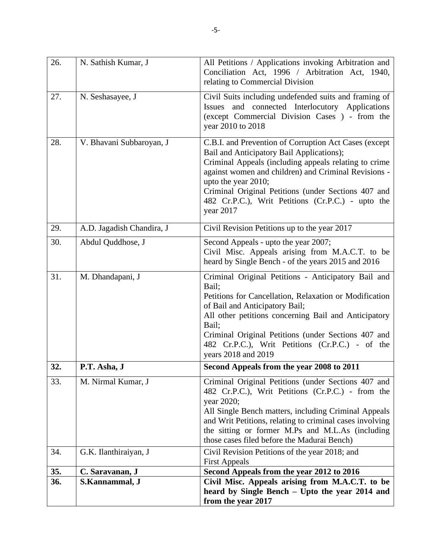|            |                                   | heard by Single Bench - Upto the year 2014 and<br>from the year 2017                                                                                                                                                                                                                                                                                                |
|------------|-----------------------------------|---------------------------------------------------------------------------------------------------------------------------------------------------------------------------------------------------------------------------------------------------------------------------------------------------------------------------------------------------------------------|
| 35.<br>36. | C. Saravanan, J<br>S.Kannammal, J | Second Appeals from the year 2012 to 2016<br>Civil Misc. Appeals arising from M.A.C.T. to be                                                                                                                                                                                                                                                                        |
| 34.        | G.K. Ilanthiraiyan, J             | Civil Revision Petitions of the year 2018; and<br><b>First Appeals</b>                                                                                                                                                                                                                                                                                              |
| 33.        | M. Nirmal Kumar, J                | Criminal Original Petitions (under Sections 407 and<br>482 Cr.P.C.), Writ Petitions (Cr.P.C.) - from the<br>year 2020;<br>All Single Bench matters, including Criminal Appeals<br>and Writ Petitions, relating to criminal cases involving<br>the sitting or former M.Ps and M.L.As (including<br>those cases filed before the Madurai Bench)                       |
| 32.        | P.T. Asha, J                      | Second Appeals from the year 2008 to 2011                                                                                                                                                                                                                                                                                                                           |
| 31.        | M. Dhandapani, J                  | Criminal Original Petitions - Anticipatory Bail and<br>Bail;<br>Petitions for Cancellation, Relaxation or Modification<br>of Bail and Anticipatory Bail;<br>All other petitions concerning Bail and Anticipatory<br>Bail;<br>Criminal Original Petitions (under Sections 407 and<br>482 Cr.P.C.), Writ Petitions (Cr.P.C.) - of the<br>years 2018 and 2019          |
| 30.        | Abdul Quddhose, J                 | Second Appeals - upto the year 2007;<br>Civil Misc. Appeals arising from M.A.C.T. to be<br>heard by Single Bench - of the years 2015 and 2016                                                                                                                                                                                                                       |
| 29.        | A.D. Jagadish Chandira, J         | Civil Revision Petitions up to the year 2017                                                                                                                                                                                                                                                                                                                        |
| 28.        | V. Bhavani Subbaroyan, J          | C.B.I. and Prevention of Corruption Act Cases (except<br>Bail and Anticipatory Bail Applications);<br>Criminal Appeals (including appeals relating to crime<br>against women and children) and Criminal Revisions -<br>upto the year 2010;<br>Criminal Original Petitions (under Sections 407 and<br>482 Cr.P.C.), Writ Petitions (Cr.P.C.) - upto the<br>year 2017 |
| 27.        | N. Seshasayee, J                  | Civil Suits including undefended suits and framing of<br>Issues and connected Interlocutory Applications<br>(except Commercial Division Cases ) - from the<br>year 2010 to 2018                                                                                                                                                                                     |
| 26.        | N. Sathish Kumar, J               | All Petitions / Applications invoking Arbitration and<br>Conciliation Act, 1996 / Arbitration Act, 1940,<br>relating to Commercial Division                                                                                                                                                                                                                         |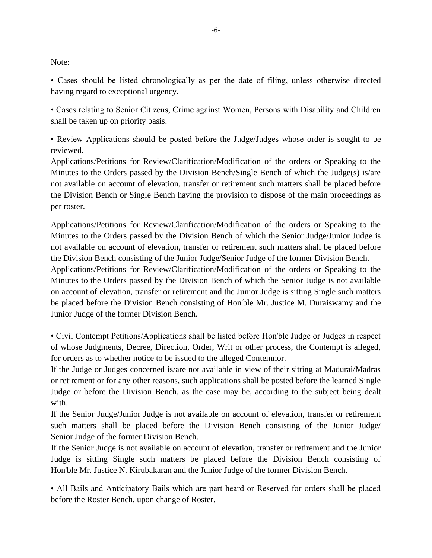## Note:

• Cases should be listed chronologically as per the date of filing, unless otherwise directed having regard to exceptional urgency.

• Cases relating to Senior Citizens, Crime against Women, Persons with Disability and Children shall be taken up on priority basis.

• Review Applications should be posted before the Judge/Judges whose order is sought to be reviewed.

Applications/Petitions for Review/Clarification/Modification of the orders or Speaking to the Minutes to the Orders passed by the Division Bench/Single Bench of which the Judge(s) is/are not available on account of elevation, transfer or retirement such matters shall be placed before the Division Bench or Single Bench having the provision to dispose of the main proceedings as per roster.

Applications/Petitions for Review/Clarification/Modification of the orders or Speaking to the Minutes to the Orders passed by the Division Bench of which the Senior Judge/Junior Judge is not available on account of elevation, transfer or retirement such matters shall be placed before the Division Bench consisting of the Junior Judge/Senior Judge of the former Division Bench.

Applications/Petitions for Review/Clarification/Modification of the orders or Speaking to the Minutes to the Orders passed by the Division Bench of which the Senior Judge is not available on account of elevation, transfer or retirement and the Junior Judge is sitting Single such matters be placed before the Division Bench consisting of Hon'ble Mr. Justice M. Duraiswamy and the Junior Judge of the former Division Bench.

• Civil Contempt Petitions/Applications shall be listed before Hon'ble Judge or Judges in respect of whose Judgments, Decree, Direction, Order, Writ or other process, the Contempt is alleged, for orders as to whether notice to be issued to the alleged Contemnor.

If the Judge or Judges concerned is/are not available in view of their sitting at Madurai/Madras or retirement or for any other reasons, such applications shall be posted before the learned Single Judge or before the Division Bench, as the case may be, according to the subject being dealt with.

If the Senior Judge/Junior Judge is not available on account of elevation, transfer or retirement such matters shall be placed before the Division Bench consisting of the Junior Judge/ Senior Judge of the former Division Bench.

If the Senior Judge is not available on account of elevation, transfer or retirement and the Junior Judge is sitting Single such matters be placed before the Division Bench consisting of Hon'ble Mr. Justice N. Kirubakaran and the Junior Judge of the former Division Bench.

• All Bails and Anticipatory Bails which are part heard or Reserved for orders shall be placed before the Roster Bench, upon change of Roster.